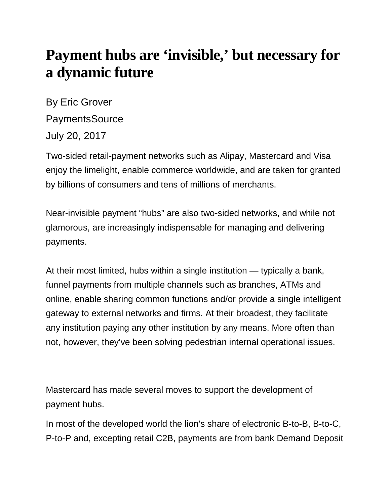## **Payment hubs are 'invisible,' but necessary for a dynamic future**

By Eric Grover **PaymentsSource** July 20, 2017

Two-sided retail-payment networks such as Alipay, Mastercard and Visa enjoy the limelight, enable commerce worldwide, and are taken for granted by billions of consumers and tens of millions of merchants.

Near-invisible payment "hubs" are also two-sided networks, and while not glamorous, are increasingly indispensable for managing and delivering payments.

At their most limited, hubs within a single institution — typically a bank, funnel payments from multiple channels such as branches, ATMs and online, enable sharing common functions and/or provide a single intelligent gateway to external networks and firms. At their broadest, they facilitate any institution paying any other institution by any means. More often than not, however, they've been solving pedestrian internal operational issues.

Mastercard has made several moves to support the development of payment hubs.

In most of the developed world the lion's share of electronic B-to-B, B-to-C, P-to-P and, excepting retail C2B, payments are from bank Demand Deposit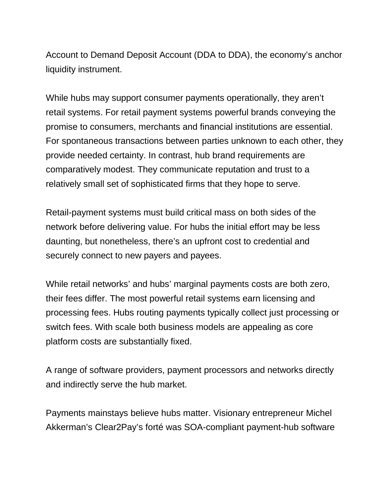Account to Demand Deposit Account (DDA to DDA), the economy's anchor liquidity instrument.

While hubs may support consumer payments operationally, they aren't retail systems. For retail payment systems powerful brands conveying the promise to consumers, merchants and financial institutions are essential. For spontaneous transactions between parties unknown to each other, they provide needed certainty. In contrast, hub brand requirements are comparatively modest. They communicate reputation and trust to a relatively small set of sophisticated firms that they hope to serve.

Retail-payment systems must build critical mass on both sides of the network before delivering value. For hubs the initial effort may be less daunting, but nonetheless, there's an upfront cost to credential and securely connect to new payers and payees.

While retail networks' and hubs' marginal payments costs are both zero, their fees differ. The most powerful retail systems earn licensing and processing fees. Hubs routing payments typically collect just processing or switch fees. With scale both business models are appealing as core platform costs are substantially fixed.

A range of software providers, payment processors and networks directly and indirectly serve the hub market.

Payments mainstays believe hubs matter. Visionary entrepreneur Michel Akkerman's Clear2Pay's forté was SOA-compliant payment-hub software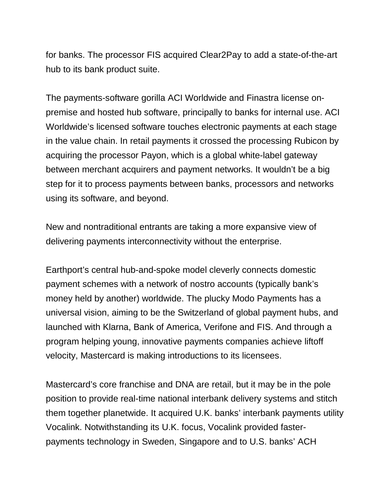for banks. The processor FIS acquired Clear2Pay to add a state-of-the-art hub to its bank product suite.

The payments-software gorilla ACI Worldwide and Finastra license onpremise and hosted hub software, principally to banks for internal use. ACI Worldwide's licensed software touches electronic payments at each stage in the value chain. In retail payments it crossed the processing Rubicon by acquiring the processor Payon, which is a global white-label gateway between merchant acquirers and payment networks. It wouldn't be a big step for it to process payments between banks, processors and networks using its software, and beyond.

New and nontraditional entrants are taking a more expansive view of delivering payments interconnectivity without the enterprise.

Earthport's central hub-and-spoke model cleverly connects domestic payment schemes with a network of nostro accounts (typically bank's money held by another) worldwide. The plucky Modo Payments has a universal vision, aiming to be the Switzerland of global payment hubs, and launched with Klarna, Bank of America, Verifone and FIS. And through a program helping young, innovative payments companies achieve liftoff velocity, Mastercard is making introductions to its licensees.

Mastercard's core franchise and DNA are retail, but it may be in the pole position to provide real-time national interbank delivery systems and stitch them together planetwide. It acquired U.K. banks' interbank payments utility Vocalink. Notwithstanding its U.K. focus, Vocalink provided fasterpayments technology in Sweden, Singapore and to U.S. banks' ACH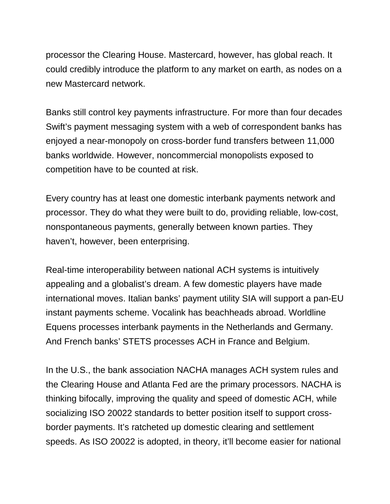processor the Clearing House. Mastercard, however, has global reach. It could credibly introduce the platform to any market on earth, as nodes on a new Mastercard network.

Banks still control key payments infrastructure. For more than four decades Swift's payment messaging system with a web of correspondent banks has enjoyed a near-monopoly on cross-border fund transfers between 11,000 banks worldwide. However, noncommercial monopolists exposed to competition have to be counted at risk.

Every country has at least one domestic interbank payments network and processor. They do what they were built to do, providing reliable, low-cost, nonspontaneous payments, generally between known parties. They haven't, however, been enterprising.

Real-time interoperability between national ACH systems is intuitively appealing and a globalist's dream. A few domestic players have made international moves. Italian banks' payment utility SIA will support a pan-EU instant payments scheme. Vocalink has beachheads abroad. Worldline Equens processes interbank payments in the Netherlands and Germany. And French banks' STETS processes ACH in France and Belgium.

In the U.S., the bank association NACHA manages ACH system rules and the Clearing House and Atlanta Fed are the primary processors. NACHA is thinking bifocally, improving the quality and speed of domestic ACH, while socializing ISO 20022 standards to better position itself to support crossborder payments. It's ratcheted up domestic clearing and settlement speeds. As ISO 20022 is adopted, in theory, it'll become easier for national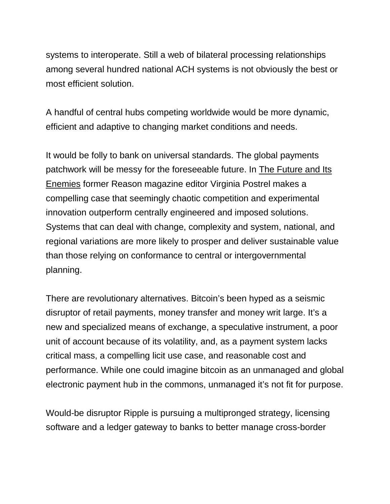systems to interoperate. Still a web of bilateral processing relationships among several hundred national ACH systems is not obviously the best or most efficient solution.

A handful of central hubs competing worldwide would be more dynamic, efficient and adaptive to changing market conditions and needs.

It would be folly to bank on universal standards. The global payments patchwork will be messy for the foreseeable future. In The Future and Its [Enemies](https://www.amazon.com/FUTURE-ITS-ENEMIES-Creativity-Enterprise/dp/0684862697) former Reason magazine editor Virginia Postrel makes a compelling case that seemingly chaotic competition and experimental innovation outperform centrally engineered and imposed solutions. Systems that can deal with change, complexity and system, national, and regional variations are more likely to prosper and deliver sustainable value than those relying on conformance to central or intergovernmental planning.

There are revolutionary alternatives. Bitcoin's been hyped as a seismic disruptor of retail payments, money transfer and money writ large. It's a new and specialized means of exchange, a speculative instrument, a poor unit of account because of its volatility, and, as a payment system lacks critical mass, a compelling licit use case, and reasonable cost and performance. While one could imagine bitcoin as an unmanaged and global electronic payment hub in the commons, unmanaged it's not fit for purpose.

Would-be disruptor Ripple is pursuing a multipronged strategy, licensing software and a ledger gateway to banks to better manage cross-border